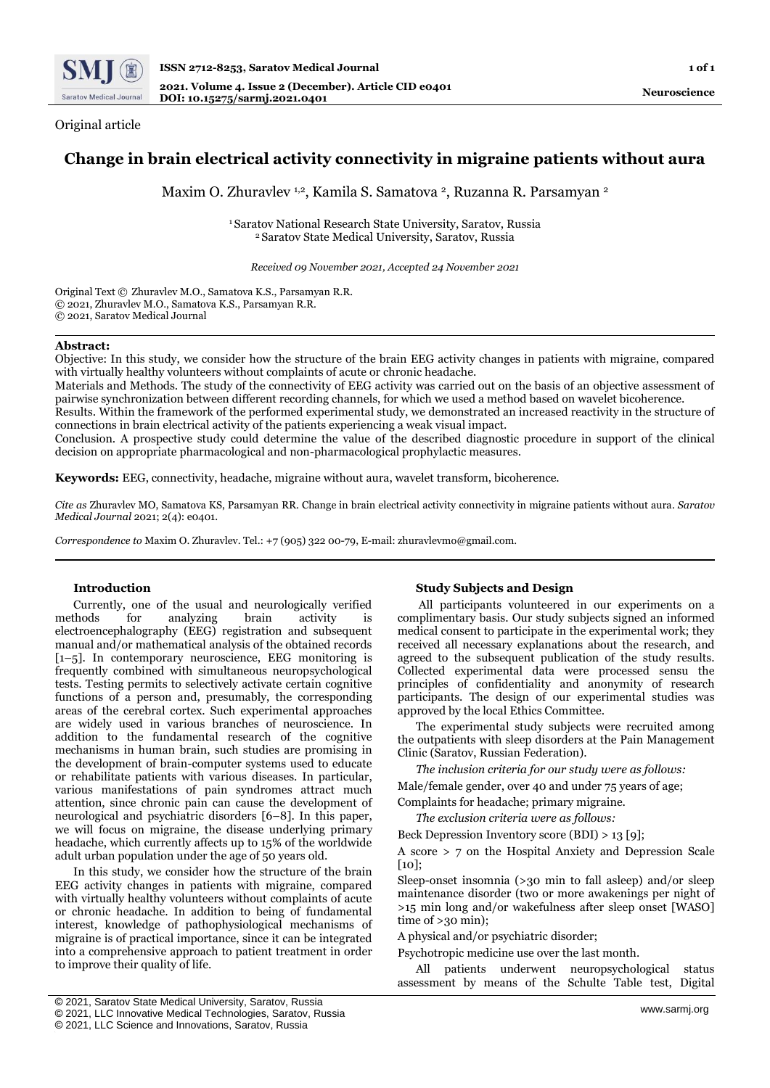

Original article

# **Change in brain electrical activity connectivity in migraine patients without aura**

Maxim O. Zhuravlev 1,2, Kamila S. Samatova 2, Ruzanna R. Parsamyan 2

<sup>1</sup>Saratov National Research State University, Saratov, Russia <sup>2</sup>Saratov State Medical University, Saratov, Russia

*Received 09 November 2021, Accepted 24 November 2021*

Original Text © Zhuravlev M.O., Samatova K.S., Parsamyan R.R. © 2021, Zhuravlev M.O., Samatova K.S., Parsamyan R.R. © 2021, Saratov Medical Journal

## **Abstract:**

Objective: In this study, we consider how the structure of the brain EEG activity changes in patients with migraine, compared with virtually healthy volunteers without complaints of acute or chronic headache.

Materials and Methods. The study of the connectivity of EEG activity was carried out on the basis of an objective assessment of pairwise synchronization between different recording channels, for which we used a method based on wavelet bicoherence.

Results. Within the framework of the performed experimental study, we demonstrated an increased reactivity in the structure of connections in brain electrical activity of the patients experiencing a weak visual impact.

Conclusion. A prospective study could determine the value of the described diagnostic procedure in support of the clinical decision on appropriate pharmacological and non-pharmacological prophylactic measures.

**Keywords:** EEG, connectivity, headache, migraine without aura, wavelet transform, bicoherence.

*Cite as* Zhuravlev MO, Samatova KS, Parsamyan RR. Change in brain electrical activity connectivity in migraine patients without aura. *Saratov Medical Journal* 2021; 2(4): e0401.

*Correspondence to* Maxim O. Zhuravlev. Tel.: +7 (905) 322 00-79, E-mail: zhuravlevmo@gmail.com.

## **Introduction**

Currently, one of the usual and neurologically verified methods for analyzing brain activity is electroencephalography (EEG) registration and subsequent manual and/or mathematical analysis of the obtained records [1–5]. In contemporary neuroscience, EEG monitoring is frequently combined with simultaneous neuropsychological tests. Testing permits to selectively activate certain cognitive functions of a person and, presumably, the corresponding areas of the cerebral cortex. Such experimental approaches are widely used in various branches of neuroscience. In addition to the fundamental research of the cognitive mechanisms in human brain, such studies are promising in the development of brain-computer systems used to educate or rehabilitate patients with various diseases. In particular, various manifestations of pain syndromes attract much attention, since chronic pain can cause the development of neurological and psychiatric disorders [6–8]. In this paper, we will focus on migraine, the disease underlying primary headache, which currently affects up to 15% of the worldwide adult urban population under the age of 50 years old.

In this study, we consider how the structure of the brain EEG activity changes in patients with migraine, compared with virtually healthy volunteers without complaints of acute or chronic headache. In addition to being of fundamental interest, knowledge of pathophysiological mechanisms of migraine is of practical importance, since it can be integrated into a comprehensive approach to patient treatment in order to improve their quality of life.

## **Study Subjects and Design**

All participants volunteered in our experiments on a complimentary basis. Our study subjects signed an informed medical consent to participate in the experimental work; they received all necessary explanations about the research, and agreed to the subsequent publication of the study results. Collected experimental data were processed sensu the principles of confidentiality and anonymity of research participants. The design of our experimental studies was approved by the local Ethics Committee.

The experimental study subjects were recruited among the outpatients with sleep disorders at the Pain Management Clinic (Saratov, Russian Federation).

*The inclusion criteria for our study were as follows:*  Male/female gender, over 40 and under 75 years of age;

Complaints for headache; primary migraine.

*The exclusion criteria were as follows:*

Beck Depression Inventory score (BDI) > 13 [9];

A score > 7 on the Hospital Anxiety and Depression Scale  $[10]$ ;

Sleep-onset insomnia (>30 min to fall asleep) and/or sleep maintenance disorder (two or more awakenings per night of >15 min long and/or wakefulness after sleep onset [WASO] time of >30 min);

A physical and/or psychiatric disorder;

Psychotropic medicine use over the last month.

All patients underwent neuropsychological status assessment by means of the Schulte Table test, Digital

© 2021, LLC Science and Innovations, Saratov, Russia

<sup>©</sup> 2021, Saratov State Medical University, Saratov, Russia

<sup>©</sup> 2021, LLC Innovative Medical Technologies, Saratov, Russia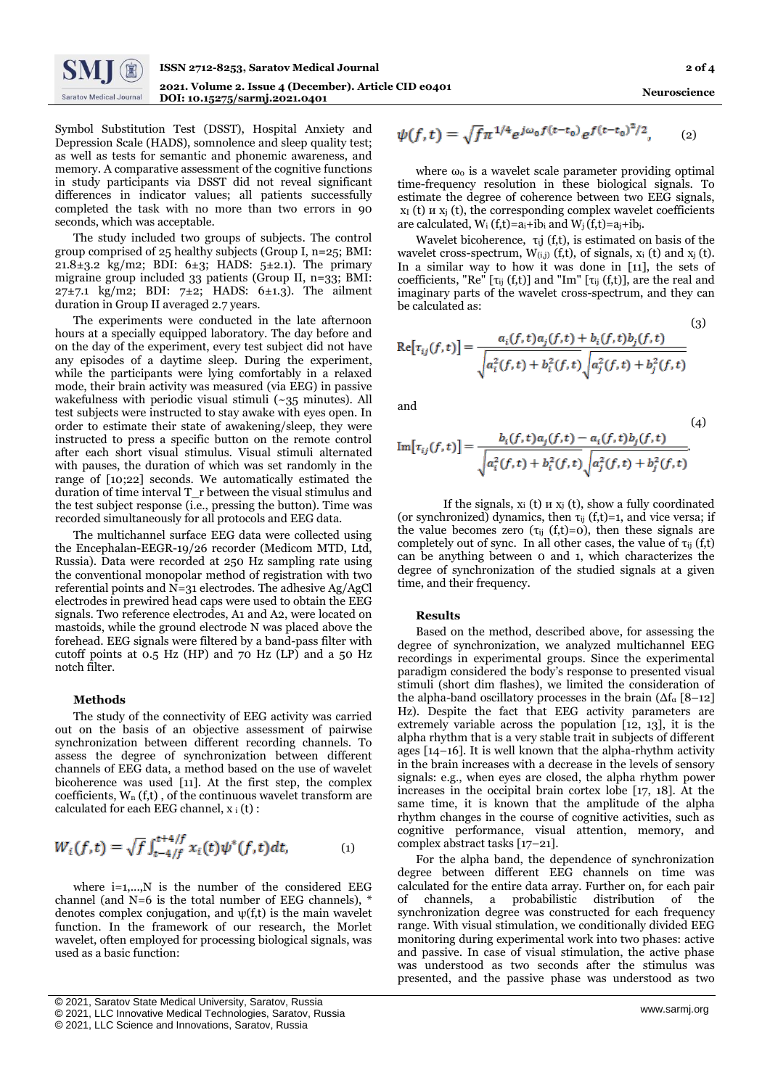

Symbol Substitution Test (DSST), Hospital Anxiety and Depression Scale (HADS), somnolence and sleep quality test; as well as tests for semantic and phonemic awareness, and memory. A comparative assessment of the cognitive functions in study participants via DSST did not reveal significant differences in indicator values; all patients successfully completed the task with no more than two errors in 90 seconds, which was acceptable.

The study included two groups of subjects. The control group comprised of 25 healthy subjects (Group I, n=25; BMI: 21.8 $\pm$ 3.2 kg/m2; BDI: 6 $\pm$ 3; HADS: 5 $\pm$ 2.1). The primary migraine group included 33 patients (Group II, n=33; BMI:  $27\pm7.1$  kg/m2; BDI:  $7\pm2$ ; HADS:  $6\pm1.3$ ). The ailment duration in Group II averaged 2.7 years.

The experiments were conducted in the late afternoon hours at a specially equipped laboratory. The day before and on the day of the experiment, every test subject did not have any episodes of a daytime sleep. During the experiment, while the participants were lying comfortably in a relaxed mode, their brain activity was measured (via EEG) in passive wakefulness with periodic visual stimuli (~35 minutes). All test subjects were instructed to stay awake with eyes open. In order to estimate their state of awakening/sleep, they were instructed to press a specific button on the remote control after each short visual stimulus. Visual stimuli alternated with pauses, the duration of which was set randomly in the range of [10;22] seconds. We automatically estimated the duration of time interval T\_r between the visual stimulus and the test subject response (i.e., pressing the button). Time was recorded simultaneously for all protocols and EEG data.

The multichannel surface EEG data were collected using the Encephalan-EEGR-19/26 recorder (Medicom MTD, Ltd, Russia). Data were recorded at 250 Hz sampling rate using the conventional monopolar method of registration with two referential points and  $N=31$  electrodes. The adhesive Ag/AgCl electrodes in prewired head caps were used to obtain the EEG signals. Two reference electrodes, A1 and A2, were located on mastoids, while the ground electrode N was placed above the forehead. EEG signals were filtered by a band-pass filter with cutoff points at 0.5 Hz (HP) and 70 Hz (LP) and a 50 Hz notch filter.

#### **Methods**

The study of the connectivity of EEG activity was carried out on the basis of an objective assessment of pairwise synchronization between different recording channels. To assess the degree of synchronization between different channels of EEG data, a method based on the use of wavelet bicoherence was used [11]. At the first step, the complex coefficients, W<sup>n</sup> (f,t) , of the continuous wavelet transform are calculated for each EEG channel,  $x_i(t)$ :

$$
W_i(f,t) = \sqrt{f} \int_{t-4/f}^{t+4/f} x_i(t) \psi^*(f,t) dt, \qquad (1)
$$

where i=1,...,N is the number of the considered EEG channel (and N=6 is the total number of EEG channels), \* denotes complex conjugation, and  $\psi(f,t)$  is the main wavelet function. In the framework of our research, the Morlet wavelet, often employed for processing biological signals, was used as a basic function:

$$
\psi(f,t) = \sqrt{f} \pi^{1/4} e^{j\omega_0 f (t - t_0)} e^{f (t - t_0)^2/2}, \qquad (2)
$$

where  $\omega_0$  is a wavelet scale parameter providing optimal time-frequency resolution in these biological signals. To estimate the degree of coherence between two EEG signals,  $x_{I}$  (t)  $u x_{i}$  (t), the corresponding complex wavelet coefficients are calculated,  $W_i(f,t)=a_i+ib_i$  and  $W_i(f,t)=a_i+ib_i$ .

Wavelet bicoherence,  $\tau_{ij}$  (f,t), is estimated on basis of the wavelet cross-spectrum,  $W_{(i,j)}$  (f,t), of signals,  $x_i$  (t) and  $x_j$  (t). In a similar way to how it was done in [11], the sets of coefficients, "Re"  $[\tau_{ij}(f,t)]$  and "Im"  $[\tau_{ij}(f,t)]$ , are the real and imaginary parts of the wavelet cross-spectrum, and they can be calculated as:

(3)  
\n
$$
\text{Re}[\tau_{ij}(f,t)] = \frac{a_i(f,t)a_j(f,t) + b_i(f,t)b_j(f,t)}{\sqrt{a_i^2(f,t) + b_i^2(f,t)}\sqrt{a_j^2(f,t) + b_j^2(f,t)}}
$$

and

$$
\operatorname{Im}[\tau_{ij}(f,t)] = \frac{b_i(f,t)a_j(f,t) - a_i(f,t)b_j(f,t)}{\sqrt{a_i^2(f,t) + b_i^2(f,t)}\sqrt{a_j^2(f,t) + b_j^2(f,t)}}.
$$
\n(4)

If the signals,  $x_i$  (t)  $u x_i$  (t), show a fully coordinated (or synchronized) dynamics, then  $\tau_{ij}$  (f,t)=1, and vice versa; if the value becomes zero ( $\tau_{ij}$  (f,t)=0), then these signals are completely out of sync. In all other cases, the value of  $\tau_{ij}$  (f,t) can be anything between 0 and 1, which characterizes the degree of synchronization of the studied signals at a given time, and their frequency.

## **Results**

Based on the method, described above, for assessing the degree of synchronization, we analyzed multichannel EEG recordings in experimental groups. Since the experimental paradigm considered the body's response to presented visual stimuli (short dim flashes), we limited the consideration of the alpha-band oscillatory processes in the brain  $(\Delta f_{\alpha} [8-12])$ Hz). Despite the fact that EEG activity parameters are extremely variable across the population [12, 13], it is the alpha rhythm that is a very stable trait in subjects of different ages [14–16]. It is well known that the alpha-rhythm activity in the brain increases with a decrease in the levels of sensory signals: e.g., when eyes are closed, the alpha rhythm power increases in the occipital brain cortex lobe [17, 18]. At the same time, it is known that the amplitude of the alpha rhythm changes in the course of cognitive activities, such as cognitive performance, visual attention, memory, and complex abstract tasks [17–21].

For the alpha band, the dependence of synchronization degree between different EEG channels on time was calculated for the entire data array. Further on, for each pair of channels, a probabilistic distribution of the synchronization degree was constructed for each frequency range. With visual stimulation, we conditionally divided EEG monitoring during experimental work into two phases: active and passive. In case of visual stimulation, the active phase was understood as two seconds after the stimulus was presented, and the passive phase was understood as two

<sup>[</sup> © 2021, Saratov State Medical University, Saratov, Russia

<sup>©</sup> 2021, LLC Innovative Medical Technologies, Saratov, Russia

<sup>©</sup> 2021, LLC Science and Innovations, Saratov, Russia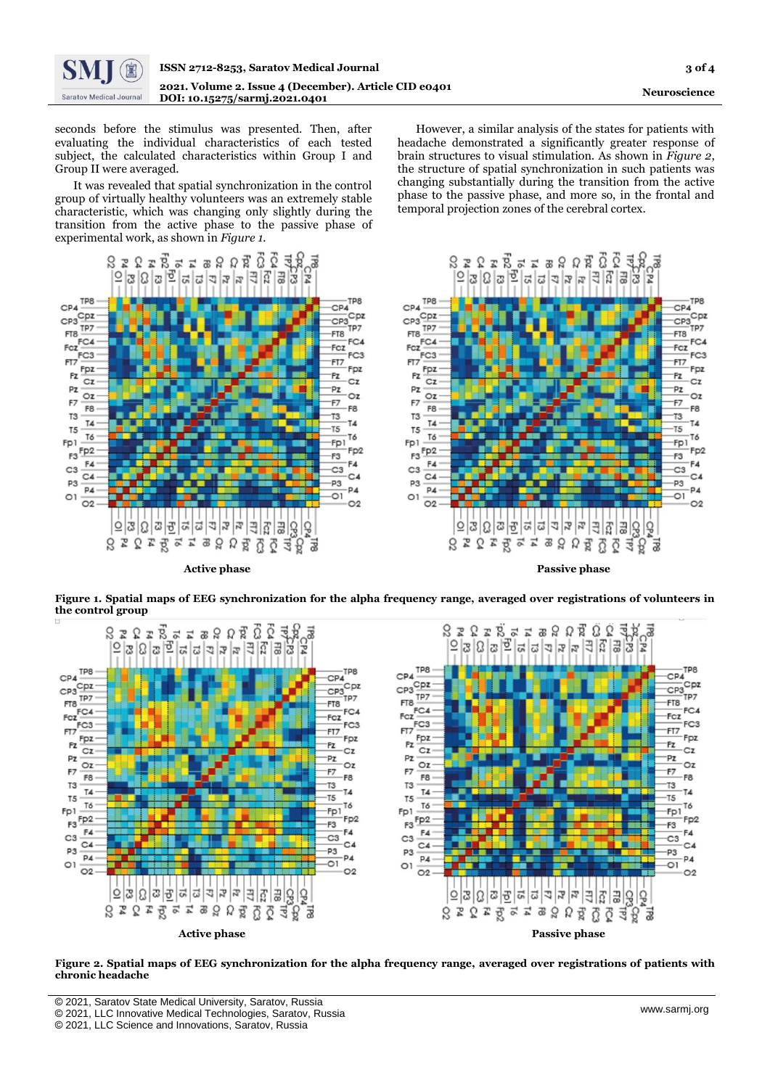

seconds before the stimulus was presented. Then, after evaluating the individual characteristics of each tested subject, the calculated characteristics within Group I and Group II were averaged.

It was revealed that spatial synchronization in the control group of virtually healthy volunteers was an extremely stable characteristic, which was changing only slightly during the transition from the active phase to the passive phase of experimental work, as shown in *Figure 1.*

ខែ**ខេ**ង ខេង ខេង <u>ស្រួ</u> ស្ទួ ទា  $|E| \geq |E| \geq |E| \geq |E| \geq |E| \geq |E|$ Ιē È **TP8** TP8  $CPA$  $CDA$ CP4<br>CP3Cpz  $CP4$ <br> $CP3$ <br> $TP7$ <br> $TP7$  $CP3$  TP7<br> $F18$ -<br>TP7 FT8 FT8<br>FC4<br>FC3 FC4 Fcz  $FCZ$ <br> $FC3$ FC3  $\frac{F17}{F2} \frac{Fpz}{Cz}$ FT7 F<sub>DZ</sub> ·Pz  $Cz$  $CZ$  $PZ$ ·Pz  $OZ$  $OZ$ F7 F7 ER  $-ER$ T<sub>3</sub> T<sub>3</sub> TA  $T_{\rm A}$  $-75$  $T<sub>5</sub>$ T6 T6 Fp1 Fp1  $F_1$ <br> $F_2$ <br> $F_3$ <br> $F_4$ Fp<sub>2</sub> -F3 F4  $-F4$  $C3$  $-c3$  $C4$  $C4$ P3 -p3 P4 P<sub>4</sub>  $-01$  $O<sub>1</sub>$  $\overline{O2}$  $O<sub>2</sub>$  $\frac{1}{2}$  $\frac{1}{2}$  $\frac{1}{2}$  $\frac{1}{2}$  $\frac{1}{2}$  $\frac{1}{2}$  $\frac{1}{2}$  $\frac{1}{2}$  $\frac{1}{2}$ 호 3 호 호 이  $\overline{5}$ P3 28 2 2 3 2 2 78 쿯

However, a similar analysis of the states for patients with headache demonstrated a significantly greater response of brain structures to visual stimulation. As shown in *Figure 2*, the structure of spatial synchronization in such patients was changing substantially during the transition from the active phase to the passive phase, and more so, in the frontal and temporal projection zones of the cerebral cortex.



 **Active phase Passive phase**

**Figure 1. Spatial maps of EEG synchronization for the alpha frequency range, averaged over registrations of volunteers in the control group**



**Figure 2. Spatial maps of EEG synchronization for the alpha frequency range, averaged over registrations of patients with chronic headache**

- [ © 2021, Saratov State Medical University, Saratov, Russia
- © 2021, LLC Innovative Medical Technologies, Saratov, Russia

<sup>©</sup> 2021, LLC Science and Innovations, Saratov, Russia